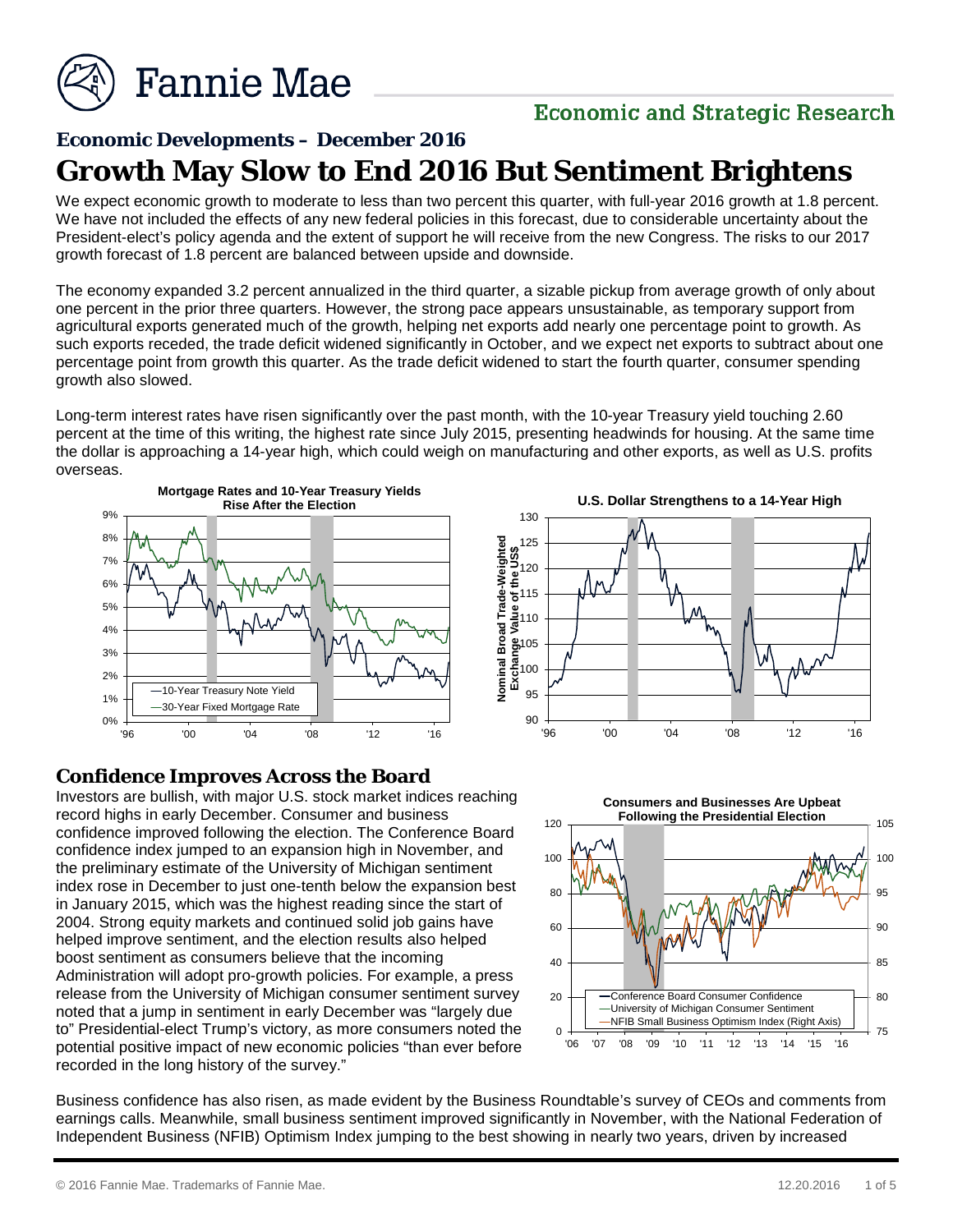

# **Economic and Strategic Research**

# **Economic Developments – December 2016 Growth May Slow to End 2016 But Sentiment Brightens**

We expect economic growth to moderate to less than two percent this quarter, with full-year 2016 growth at 1.8 percent. We have not included the effects of any new federal policies in this forecast, due to considerable uncertainty about the President-elect's policy agenda and the extent of support he will receive from the new Congress. The risks to our 2017 growth forecast of 1.8 percent are balanced between upside and downside.

The economy expanded 3.2 percent annualized in the third quarter, a sizable pickup from average growth of only about one percent in the prior three quarters. However, the strong pace appears unsustainable, as temporary support from agricultural exports generated much of the growth, helping net exports add nearly one percentage point to growth. As such exports receded, the trade deficit widened significantly in October, and we expect net exports to subtract about one percentage point from growth this quarter. As the trade deficit widened to start the fourth quarter, consumer spending growth also slowed.

Long-term interest rates have risen significantly over the past month, with the 10-year Treasury yield touching 2.60 percent at the time of this writing, the highest rate since July 2015, presenting headwinds for housing. At the same time the dollar is approaching a 14-year high, which could weigh on manufacturing and other exports, as well as U.S. profits overseas.



#### **Confidence Improves Across the Board**

Investors are bullish, with major U.S. stock market indices reaching record highs in early December. Consumer and business confidence improved following the election. The Conference Board confidence index jumped to an expansion high in November, and the preliminary estimate of the University of Michigan sentiment index rose in December to just one-tenth below the expansion best in January 2015, which was the highest reading since the start of 2004. Strong equity markets and continued solid job gains have helped improve sentiment, and the election results also helped boost sentiment as consumers believe that the incoming Administration will adopt pro-growth policies. For example, a press release from the University of Michigan consumer sentiment survey noted that a jump in sentiment in early December was "largely due to" Presidential-elect Trump's victory, as more consumers noted the potential positive impact of new economic policies "than ever before recorded in the long history of the survey."





Business confidence has also risen, as made evident by the Business Roundtable's survey of CEOs and comments from earnings calls. Meanwhile, small business sentiment improved significantly in November, with the National Federation of Independent Business (NFIB) Optimism Index jumping to the best showing in nearly two years, driven by increased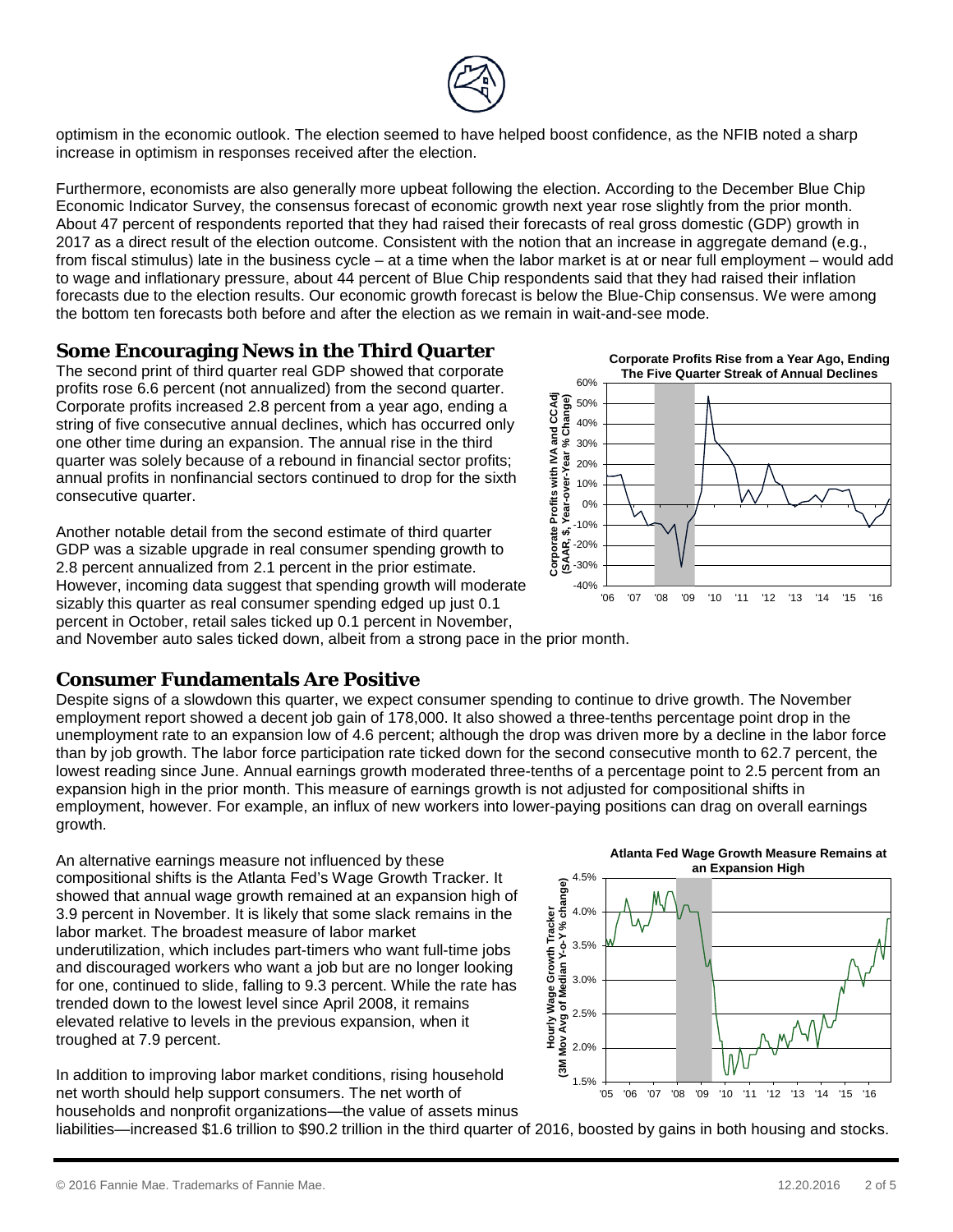

optimism in the economic outlook. The election seemed to have helped boost confidence, as the NFIB noted a sharp increase in optimism in responses received after the election.

Furthermore, economists are also generally more upbeat following the election. According to the December Blue Chip Economic Indicator Survey, the consensus forecast of economic growth next year rose slightly from the prior month. About 47 percent of respondents reported that they had raised their forecasts of real gross domestic (GDP) growth in 2017 as a direct result of the election outcome. Consistent with the notion that an increase in aggregate demand (e.g., from fiscal stimulus) late in the business cycle – at a time when the labor market is at or near full employment – would add to wage and inflationary pressure, about 44 percent of Blue Chip respondents said that they had raised their inflation forecasts due to the election results. Our economic growth forecast is below the Blue-Chip consensus. We were among the bottom ten forecasts both before and after the election as we remain in wait-and-see mode.

#### **Some Encouraging News in the Third Quarter**

The second print of third quarter real GDP showed that corporate profits rose 6.6 percent (not annualized) from the second quarter. Corporate profits increased 2.8 percent from a year ago, ending a string of five consecutive annual declines, which has occurred only one other time during an expansion. The annual rise in the third quarter was solely because of a rebound in financial sector profits; annual profits in nonfinancial sectors continued to drop for the sixth consecutive quarter.

Another notable detail from the second estimate of third quarter GDP was a sizable upgrade in real consumer spending growth to 2.8 percent annualized from 2.1 percent in the prior estimate. However, incoming data suggest that spending growth will moderate sizably this quarter as real consumer spending edged up just 0.1 percent in October, retail sales ticked up 0.1 percent in November,





and November auto sales ticked down, albeit from a strong pace in the prior month.

#### **Consumer Fundamentals Are Positive**

Despite signs of a slowdown this quarter, we expect consumer spending to continue to drive growth. The November employment report showed a decent job gain of 178,000. It also showed a three-tenths percentage point drop in the unemployment rate to an expansion low of 4.6 percent; although the drop was driven more by a decline in the labor force than by job growth. The labor force participation rate ticked down for the second consecutive month to 62.7 percent, the lowest reading since June. Annual earnings growth moderated three-tenths of a percentage point to 2.5 percent from an expansion high in the prior month. This measure of earnings growth is not adjusted for compositional shifts in employment, however. For example, an influx of new workers into lower-paying positions can drag on overall earnings growth.

An alternative earnings measure not influenced by these compositional shifts is the Atlanta Fed's Wage Growth Tracker. It showed that annual wage growth remained at an expansion high of 3.9 percent in November. It is likely that some slack remains in the labor market. The broadest measure of labor market underutilization, which includes part-timers who want full-time jobs and discouraged workers who want a job but are no longer looking for one, continued to slide, falling to 9.3 percent. While the rate has trended down to the lowest level since April 2008, it remains elevated relative to levels in the previous expansion, when it troughed at 7.9 percent.







households and nonprofit organizations—the value of assets minus liabilities—increased \$1.6 trillion to \$90.2 trillion in the third quarter of 2016, boosted by gains in both housing and stocks.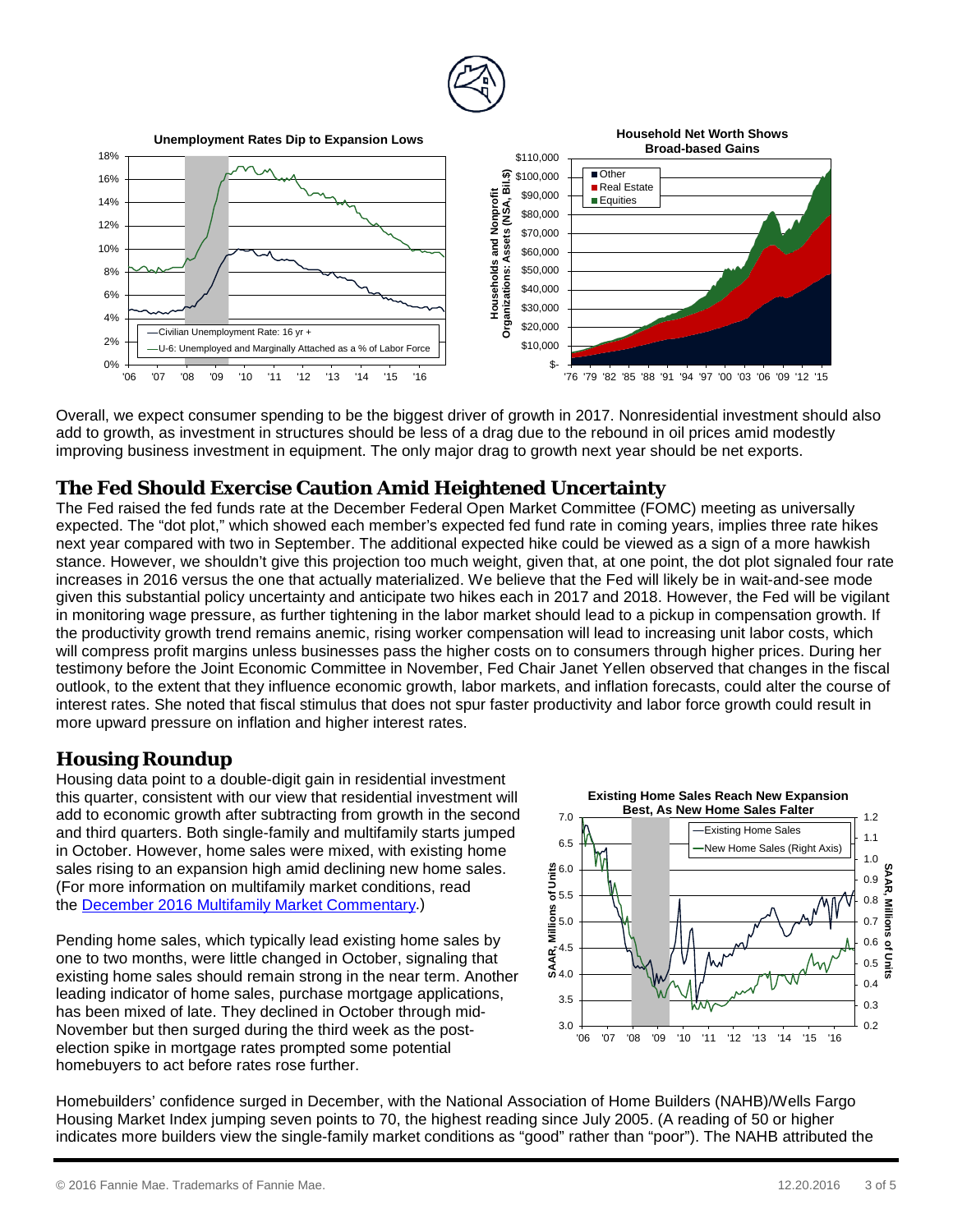

Overall, we expect consumer spending to be the biggest driver of growth in 2017. Nonresidential investment should also add to growth, as investment in structures should be less of a drag due to the rebound in oil prices amid modestly improving business investment in equipment. The only major drag to growth next year should be net exports.

### **The Fed Should Exercise Caution Amid Heightened Uncertainty**

The Fed raised the fed funds rate at the December Federal Open Market Committee (FOMC) meeting as universally expected. The "dot plot," which showed each member's expected fed fund rate in coming years, implies three rate hikes next year compared with two in September. The additional expected hike could be viewed as a sign of a more hawkish stance. However, we shouldn't give this projection too much weight, given that, at one point, the dot plot signaled four rate increases in 2016 versus the one that actually materialized. We believe that the Fed will likely be in wait-and-see mode given this substantial policy uncertainty and anticipate two hikes each in 2017 and 2018. However, the Fed will be vigilant in monitoring wage pressure, as further tightening in the labor market should lead to a pickup in compensation growth. If the productivity growth trend remains anemic, rising worker compensation will lead to increasing unit labor costs, which will compress profit margins unless businesses pass the higher costs on to consumers through higher prices. During her testimony before the Joint Economic Committee in November, Fed Chair Janet Yellen observed that changes in the fiscal outlook, to the extent that they influence economic growth, labor markets, and inflation forecasts, could alter the course of interest rates. She noted that fiscal stimulus that does not spur faster productivity and labor force growth could result in more upward pressure on inflation and higher interest rates.

## **Housing Roundup**

Housing data point to a double-digit gain in residential investment this quarter, consistent with our view that residential investment will add to economic growth after subtracting from growth in the second and third quarters. Both single-family and multifamily starts jumped in October. However, home sales were mixed, with existing home sales rising to an expansion high amid declining new home sales. (For more information on multifamily market conditions, read the [December 2016 Multifamily Market Commentary.](http://preview.fanniemae.com/resources/file/research/emma/pdf/MF_Market_Commentary_122016.pdf))

Pending home sales, which typically lead existing home sales by one to two months, were little changed in October, signaling that existing home sales should remain strong in the near term. Another leading indicator of home sales, purchase mortgage applications, has been mixed of late. They declined in October through mid-November but then surged during the third week as the postelection spike in mortgage rates prompted some potential homebuyers to act before rates rose further.



Homebuilders' confidence surged in December, with the National Association of Home Builders (NAHB)/Wells Fargo Housing Market Index jumping seven points to 70, the highest reading since July 2005. (A reading of 50 or higher indicates more builders view the single-family market conditions as "good" rather than "poor"). The NAHB attributed the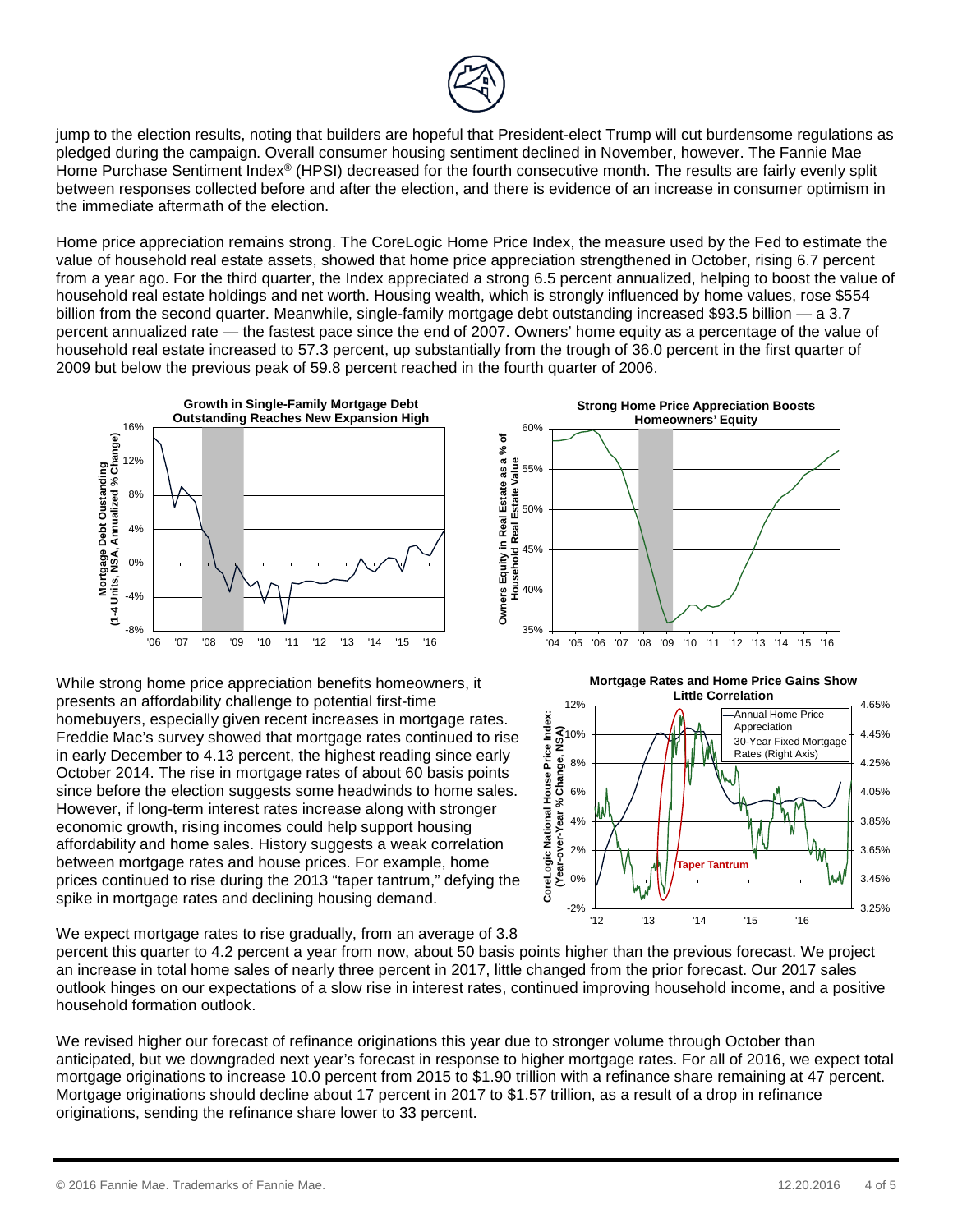

jump to the election results, noting that builders are hopeful that President-elect Trump will cut burdensome regulations as pledged during the campaign. Overall consumer housing sentiment declined in November, however. The Fannie Mae Home Purchase Sentiment Index® (HPSI) decreased for the fourth consecutive month. The results are fairly evenly split between responses collected before and after the election, and there is evidence of an increase in consumer optimism in the immediate aftermath of the election.

Home price appreciation remains strong. The CoreLogic Home Price Index, the measure used by the Fed to estimate the value of household real estate assets, showed that home price appreciation strengthened in October, rising 6.7 percent from a year ago. For the third quarter, the Index appreciated a strong 6.5 percent annualized, helping to boost the value of household real estate holdings and net worth. Housing wealth, which is strongly influenced by home values, rose \$554 billion from the second quarter. Meanwhile, single-family mortgage debt outstanding increased \$93.5 billion — a 3.7 percent annualized rate — the fastest pace since the end of 2007. Owners' home equity as a percentage of the value of household real estate increased to 57.3 percent, up substantially from the trough of 36.0 percent in the first quarter of 2009 but below the previous peak of 59.8 percent reached in the fourth quarter of 2006.



While strong home price appreciation benefits homeowners, it presents an affordability challenge to potential first-time homebuyers, especially given recent increases in mortgage rates. Freddie Mac's survey showed that mortgage rates continued to rise in early December to 4.13 percent, the highest reading since early October 2014. The rise in mortgage rates of about 60 basis points since before the election suggests some headwinds to home sales. However, if long-term interest rates increase along with stronger economic growth, rising incomes could help support housing affordability and home sales. History suggests a weak correlation between mortgage rates and house prices. For example, home prices continued to rise during the 2013 "taper tantrum," defying the spike in mortgage rates and declining housing demand.





We expect mortgage rates to rise gradually, from an average of 3.8

percent this quarter to 4.2 percent a year from now, about 50 basis points higher than the previous forecast. We project an increase in total home sales of nearly three percent in 2017, little changed from the prior forecast. Our 2017 sales outlook hinges on our expectations of a slow rise in interest rates, continued improving household income, and a positive household formation outlook.

We revised higher our forecast of refinance originations this year due to stronger volume through October than anticipated, but we downgraded next year's forecast in response to higher mortgage rates. For all of 2016, we expect total mortgage originations to increase 10.0 percent from 2015 to \$1.90 trillion with a refinance share remaining at 47 percent. Mortgage originations should decline about 17 percent in 2017 to \$1.57 trillion, as a result of a drop in refinance originations, sending the refinance share lower to 33 percent.